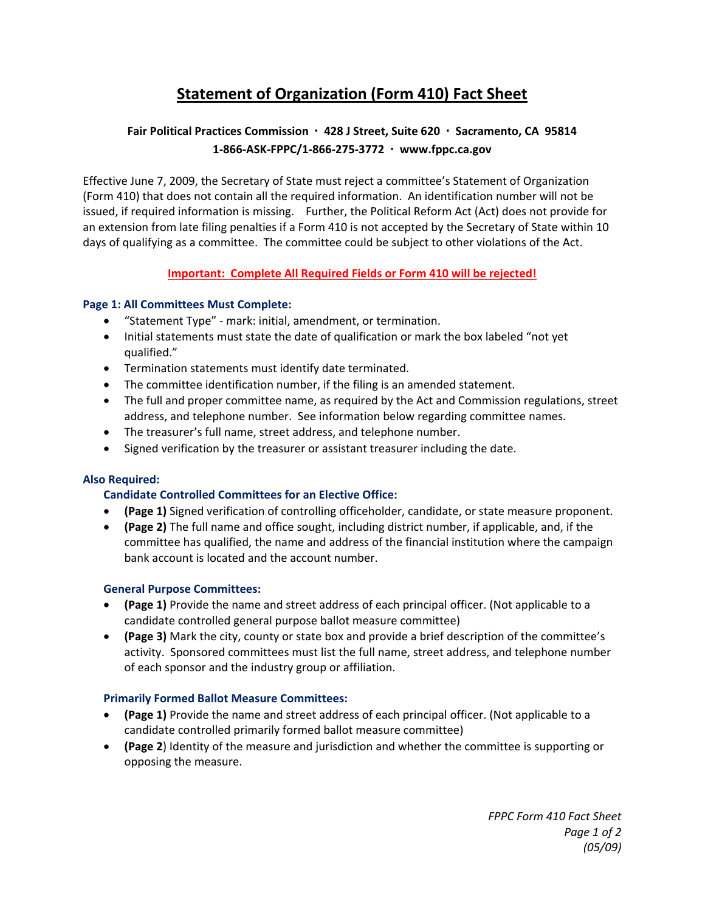# **Statement of Organization (Form 410) Fact Sheet**

## **Fair Political Practices Commission ∙ 428 J Street, Suite 620 ∙ Sacramento, CA 95814 1‐866‐ASK‐FPPC/1‐866‐275‐3772 ∙ www.fppc.ca.gov**

Effective June 7, 2009, the Secretary of State must reject a committee's Statement of Organization (Form 410) that does not contain all the required information. An identification number will not be issued, if required information is missing. Further, the Political Reform Act (Act) does not provide for an extension from late filing penalties if a Form 410 is not accepted by the Secretary of State within 10 days of qualifying as a committee. The committee could be subject to other violations of the Act.

### **Important: Complete All Required Fields or Form 410 will be rejected!**

#### **Page 1: All Committees Must Complete:**

- "Statement Type" ‐ mark: initial, amendment, or termination.
- Initial statements must state the date of qualification or mark the box labeled "not yet qualified."
- Termination statements must identify date terminated.
- The committee identification number, if the filing is an amended statement.
- The full and proper committee name, as required by the Act and Commission regulations, street address, and telephone number. See information below regarding committee names.
- The treasurer's full name, street address, and telephone number.
- Signed verification by the treasurer or assistant treasurer including the date.

#### **Also Required:**

#### **Candidate Controlled Committees for an Elective Office:**

- **(Page 1)** Signed verification of controlling officeholder, candidate, or state measure proponent.
- **(Page 2)** The full name and office sought, including district number, if applicable, and, if the committee has qualified, the name and address of the financial institution where the campaign bank account is located and the account number.

#### **General Purpose Committees:**

- **(Page 1)** Provide the name and street address of each principal officer. (Not applicable to a candidate controlled general purpose ballot measure committee)
- **(Page 3)** Mark the city, county or state box and provide a brief description of the committee's activity. Sponsored committees must list the full name, street address, and telephone number of each sponsor and the industry group or affiliation.

#### **Primarily Formed Ballot Measure Committees:**

- **(Page 1)** Provide the name and street address of each principal officer. (Not applicable to a candidate controlled primarily formed ballot measure committee)
- **(Page 2**) Identity of the measure and jurisdiction and whether the committee is supporting or opposing the measure.

*FPPC Form 410 Fact Sheet Page 1 of 2 (05/09)*